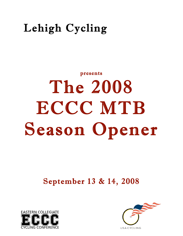## Lehigh Cycling

# presents The 2008 ECCC MTB Season Opener

September 13 & 14, 2008



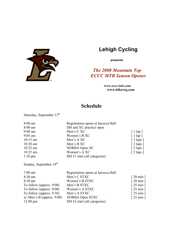

## **Lehigh Cycling**

**presents**

## *The 2008 Mountain Top ECCC MTB Season Opener*

 **www.eccc-info.com www.bikereg.com**

## **Schedule**

Saturday, September 13<sup>th</sup>

| 8:00 am           | Registration opens at Iacocca Hall |                                 |
|-------------------|------------------------------------|---------------------------------|
| $8:00 \text{ am}$ | DH and XC practice open            |                                 |
| 9:00 am           | Men's CXC                          | $\lceil$ 1 lap $\rceil$         |
| $9:05$ am         | Women's B XC                       | $\lceil 1 \lg p \rceil$         |
| $10:15$ am        | Men's A XC                         | $[3 \text{ laps}]$              |
| $10:20$ am        | Men's B XC                         | $[2 \text{ laps}]$              |
| $10:22$ am        | NORBA Open XC                      | $[2 \text{ laps}]$              |
| 10:25 am          | Women's A XC                       | $\lceil 2 \text{ laps } \rceil$ |
| $1:30 \text{ pm}$ | DH $#1$ start (all categories)     |                                 |
|                   |                                    |                                 |

Sunday, September 14<sup>th</sup>

| $7:00$ am                   | Registration opens at Iacocca Hall |                                 |
|-----------------------------|------------------------------------|---------------------------------|
| $8:30$ am                   | Men's C STXC                       | $\lceil 20 \text{ min } \rceil$ |
| $8:30$ am                   | Women's B STXC                     | $\lceil 20 \text{ min } \rceil$ |
| To follow (approx. $9:00$ ) | Men's B STXC                       | $\lceil 25 \text{ min } \rceil$ |
| To follow (approx. $9:00$ ) | Women's A STXC                     | $\lceil 25 \text{ min } \rceil$ |
| To follow (approx. $9:30$ ) | Men's A STXC                       | $\lceil 35 \text{ min } \rceil$ |
| $w/$ Men's B (approx. 9:00) | NORBA Open STXC                    | $\lceil 25 \text{ min } \rceil$ |
| $12:00 \text{ pm}$          | DH #2 start (all categories)       |                                 |
|                             |                                    |                                 |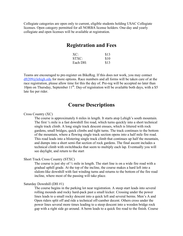Collegiate categories are open only to current, eligible students holding USAC Collegiate licenses. Open category permitted for all NORBA license holders. One-day and yearly collegiate and open licenses will be available at registration.

## **Registration and Fees**

| XC:      | \$13 |
|----------|------|
| STXC:    | \$10 |
| Each DH: | \$13 |

Teams are encouraged to pre-register on BikeReg. If this does not work, you may contact dft209@lehigh.edu for more options. Race numbers and all forms will be taken care of at the race registration, please allow time for this the day of. Pre-reg will be accepted no later than 10pm on Thursday, September  $11<sup>th</sup>$ . Day-of registration will be available both days, with a \$5 late fee per rider.

### **Course Descriptions**

#### Cross Country (XC)

The course is approximately 6 miles in length. It starts atop Lehigh's south mountain. The first ¼ mile is a fast downhill fire road, which turns quickly into a short technical single track climb. A long single track descent ensues, which is littered with rock gardens, small bridges, quick climbs and tight turns. The track continues to the bottom of the mountain, where a flowing single track section opens into a half mile fire road. This road leads into a blistering single track climb that continues up half the mountain, and dumps into a short semi-flat section of rock gardens. The final ascent includes a technical climb with switchbacks that seem to multiply each lap. Eventually you will see daylight, and return to the start

#### Short Track Cross Country (STXC)

The course is just shy of  $\frac{1}{2}$  mile in length. The start line is on a wide fire road with a gradual uphill grade. At the top of the incline, the course makes a hard left into a slalom-like downhill with fast winding turns and returns to the bottom of the fire road incline, where most of the passing will take place.

#### Saturday Downhill (DH #1)

The course begins in the parking lot near registration. A steep start leads into several rolling mounds and rocky hard-pack past a small kicker. Crossing under the power lines leads to a small rocky descent into a quick left and several berms. Men's A and Open riders split off and ride a technical off-camber decent. Others cross under the power lines several more times leading to a steep descent into a wooden bridge rock gap with a right side go around. A berm leads to a quick fire road to the finish. Course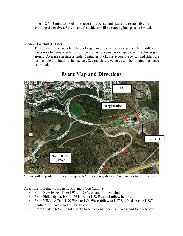time is 2.5 - 3 minutes. Pickup is accessible by car and riders are responsible for shuttling themselves. Several shuttle vehicles will be running but space is limited.

#### Sunday Downhill (DH #2)

This downhill course is largely unchanged over the last several years. The middle of the course features a technical bridge drop onto a steep rocky grade, with a slower goaround. Average run time is under 3 minutes. Pickup is accessible by car and riders are responsible for shuttling themselves. Several shuttle vehicles will be running but space is limited.



## **Event Map and Directions**

\*Signs will be posted from exit ramp of I-78 to race registration \* red arrows to registration

Directions to Lehigh University Mountain Top Campus

- From New Jersey: Take I-95 to I-78 West and follow below
- From Philadelphia, PA: I-476 North to I-78 East and follow below.
- From NH/MA: Take I-90 West to I-84 West; follow to I-87 South, then take I-287 South to I-78 West and follow below
- From Upstate NY/VT: I-87 South to I-287 South, then I-78 West and follow below